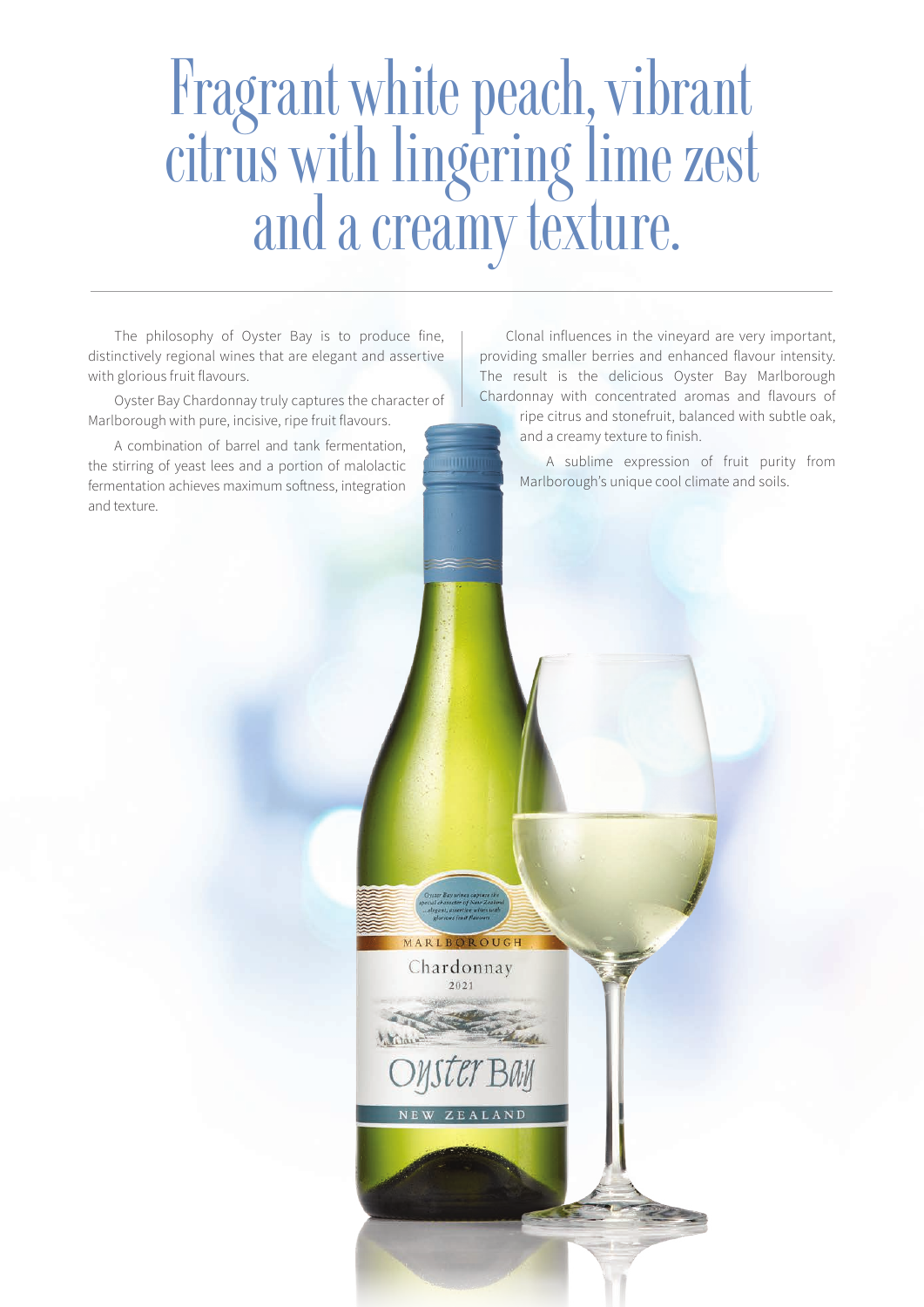# Fragrant white peach, vibrant citrus with lingering lime zest and a creamy texture.

MARLBOROUGH Chardonnay  $2021$ 

The philosophy of Oyster Bay is to produce fine, distinctively regional wines that are elegant and assertive with glorious fruit flavours.

Oyster Bay Chardonnay truly captures the character of Marlborough with pure, incisive, ripe fruit flavours.

A combination of barrel and tank fermentation, the stirring of yeast lees and a portion of malolactic fermentation achieves maximum softness, integration and texture.

Clonal influences in the vineyard are very important, providing smaller berries and enhanced flavour intensity. The result is the delicious Oyster Bay Marlborough Chardonnay with concentrated aromas and flavours of

ripe citrus and stonefruit, balanced with subtle oak, and a creamy texture to finish.

A sublime expression of fruit purity from Marlborough's unique cool climate and soils.